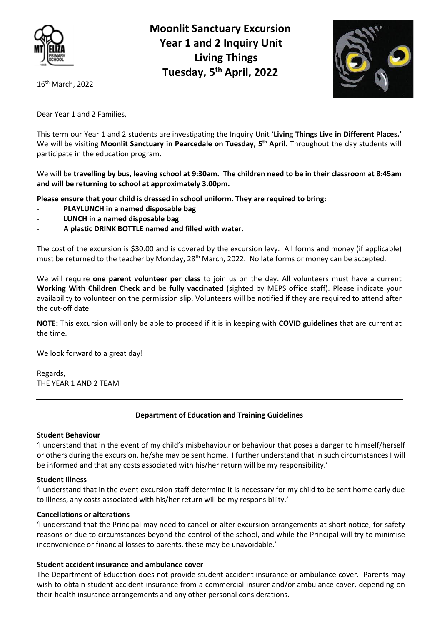

 **Moonlit Sanctuary Excursion Year 1 and 2 Inquiry Unit Living Things Tuesday, 5th April, 2022**



16 th March, 2022

Dear Year 1 and 2 Families,

This term our Year 1 and 2 students are investigating the Inquiry Unit '**Living Things Live in Different Places.'**  We will be visiting **Moonlit Sanctuary in Pearcedale on Tuesday, 5 th April.** Throughout the day students will participate in the education program.

We will be **travelling by bus, leaving school at 9:30am. The children need to be in their classroom at 8:45am and will be returning to school at approximately 3.00pm.**

**Please ensure that your child is dressed in school uniform. They are required to bring:** 

- **PLAYLUNCH in a named disposable bag**
- **LUNCH in a named disposable bag**
- **A plastic DRINK BOTTLE named and filled with water.**

The cost of the excursion is \$30.00 and is covered by the excursion levy. All forms and money (if applicable) must be returned to the teacher by Monday, 28<sup>th</sup> March, 2022. No late forms or money can be accepted.

We will require **one parent volunteer per class** to join us on the day. All volunteers must have a current **Working With Children Check** and be **fully vaccinated** (sighted by MEPS office staff). Please indicate your availability to volunteer on the permission slip. Volunteers will be notified if they are required to attend after the cut-off date.

**NOTE:** This excursion will only be able to proceed if it is in keeping with **COVID guidelines** that are current at the time.

We look forward to a great day!

Regards, THE YEAR 1 AND 2 TEAM

# **Department of Education and Training Guidelines**

# **Student Behaviour**

'I understand that in the event of my child's misbehaviour or behaviour that poses a danger to himself/herself or others during the excursion, he/she may be sent home. I further understand that in such circumstances I will be informed and that any costs associated with his/her return will be my responsibility.'

# **Student Illness**

'I understand that in the event excursion staff determine it is necessary for my child to be sent home early due to illness, any costs associated with his/her return will be my responsibility.'

# **Cancellations or alterations**

'I understand that the Principal may need to cancel or alter excursion arrangements at short notice, for safety reasons or due to circumstances beyond the control of the school, and while the Principal will try to minimise inconvenience or financial losses to parents, these may be unavoidable.'

# **Student accident insurance and ambulance cover**

The Department of Education does not provide student accident insurance or ambulance cover. Parents may wish to obtain student accident insurance from a commercial insurer and/or ambulance cover, depending on their health insurance arrangements and any other personal considerations.